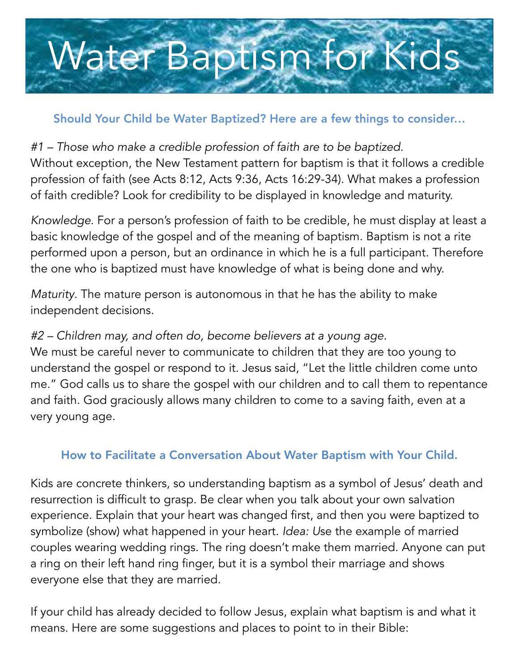## Water Baptism for Kids

## Should Your Child be Water Baptized? Here are a few things to consider…

*#1 – Those who make a credible profession of faith are to be baptized.* Without exception, the New Testament pattern for baptism is that it follows a credible profession of faith (see Acts 8:12, Acts 9:36, Acts 16:29-34). What makes a profession of faith credible? Look for credibility to be displayed in knowledge and maturity.

*Knowledge*. For a person's profession of faith to be credible, he must display at least a basic knowledge of the gospel and of the meaning of baptism. Baptism is not a rite performed upon a person, but an ordinance in which he is a full participant. Therefore the one who is baptized must have knowledge of what is being done and why.

*Maturity*. The mature person is autonomous in that he has the ability to make independent decisions.

## *#2 – Children may, and often do, become believers at a young age.*

We must be careful never to communicate to children that they are too young to understand the gospel or respond to it. Jesus said, "Let the little children come unto me." God calls us to share the gospel with our children and to call them to repentance and faith. God graciously allows many children to come to a saving faith, even at a very young age.

## How to Facilitate a Conversation About Water Baptism with Your Child.

Kids are concrete thinkers, so understanding baptism as a symbol of Jesus' death and resurrection is difficult to grasp. Be clear when you talk about your own salvation experience. Explain that your heart was changed first, and then you were baptized to symbolize (show) what happened in your heart. *Idea: U*se the example of married couples wearing wedding rings. The ring doesn't make them married. Anyone can put a ring on their left hand ring finger, but it is a symbol their marriage and shows everyone else that they are married.

If your child has already decided to follow Jesus, explain what baptism is and what it means. Here are some suggestions and places to point to in their Bible: